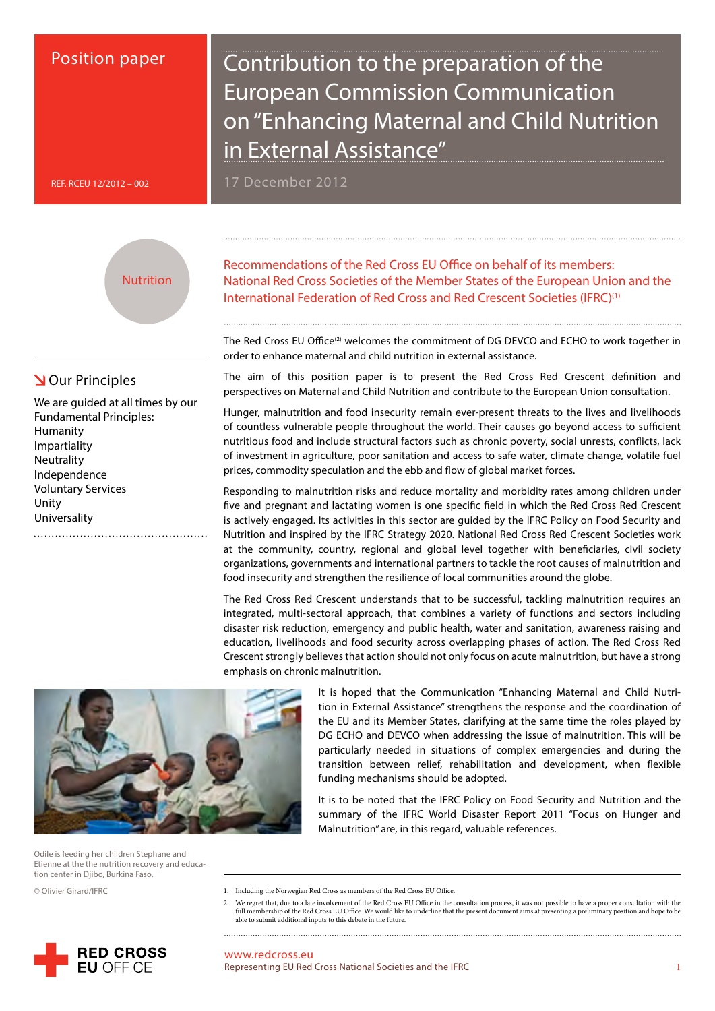# Position paper

Contribution to the preparation of the European Commission Communication on "Enhancing Maternal and Child Nutrition in External Assistance"

17 December 2012

REF. RCEU 12/2012 – 002

**Nutrition** 

# **N**Our Principles

We are guided at all times by our Fundamental Principles: Humanity Impartiality **Neutrality** Independence Voluntary Services Unity Universality

Recommendations of the Red Cross EU Office on behalf of its members: National Red Cross Societies of the Member States of the European Union and the International Federation of Red Cross and Red Crescent Societies (IFRC)<sup>(1)</sup>

The Red Cross EU Office<sup>(2)</sup> welcomes the commitment of DG DEVCO and ECHO to work together in order to enhance maternal and child nutrition in external assistance.

The aim of this position paper is to present the Red Cross Red Crescent definition and perspectives on Maternal and Child Nutrition and contribute to the European Union consultation.

Hunger, malnutrition and food insecurity remain ever-present threats to the lives and livelihoods of countless vulnerable people throughout the world. Their causes go beyond access to sufficient nutritious food and include structural factors such as chronic poverty, social unrests, conflicts, lack of investment in agriculture, poor sanitation and access to safe water, climate change, volatile fuel prices, commodity speculation and the ebb and flow of global market forces.

Responding to malnutrition risks and reduce mortality and morbidity rates among children under five and pregnant and lactating women is one specific field in which the Red Cross Red Crescent is actively engaged. Its activities in this sector are guided by the IFRC Policy on Food Security and Nutrition and inspired by the IFRC Strategy 2020. National Red Cross Red Crescent Societies work at the community, country, regional and global level together with beneficiaries, civil society organizations, governments and international partners to tackle the root causes of malnutrition and food insecurity and strengthen the resilience of local communities around the globe.

The Red Cross Red Crescent understands that to be successful, tackling malnutrition requires an integrated, multi-sectoral approach, that combines a variety of functions and sectors including disaster risk reduction, emergency and public health, water and sanitation, awareness raising and education, livelihoods and food security across overlapping phases of action. The Red Cross Red Crescent strongly believes that action should not only focus on acute malnutrition, but have a strong emphasis on chronic malnutrition.



It is to be noted that the IFRC Policy on Food Security and Nutrition and the summary of the IFRC World Disaster Report 2011 "Focus on Hunger and Malnutrition" are, in this regard, valuable references.



Odile is feeding her children Stephane and Etienne at the the nutrition recovery and education center in Djibo, Burkina Faso.

© Olivier Girard/IFRC

1. Including the Norwegian Red Cross as members of the Red Cross EU Office.

We regret that, due to a late involvement of the Red Cross EU Office in the consultation process, it was not possible to have a proper consultation with the full membership of the Red Cross EU Office. We would like to underline that the present document aims at presenting a preliminary position and hope to be able to submit additional inputs to this debate in the future. 



www.redcross.eu Representing EU Red Cross National Societies and the IFRC 1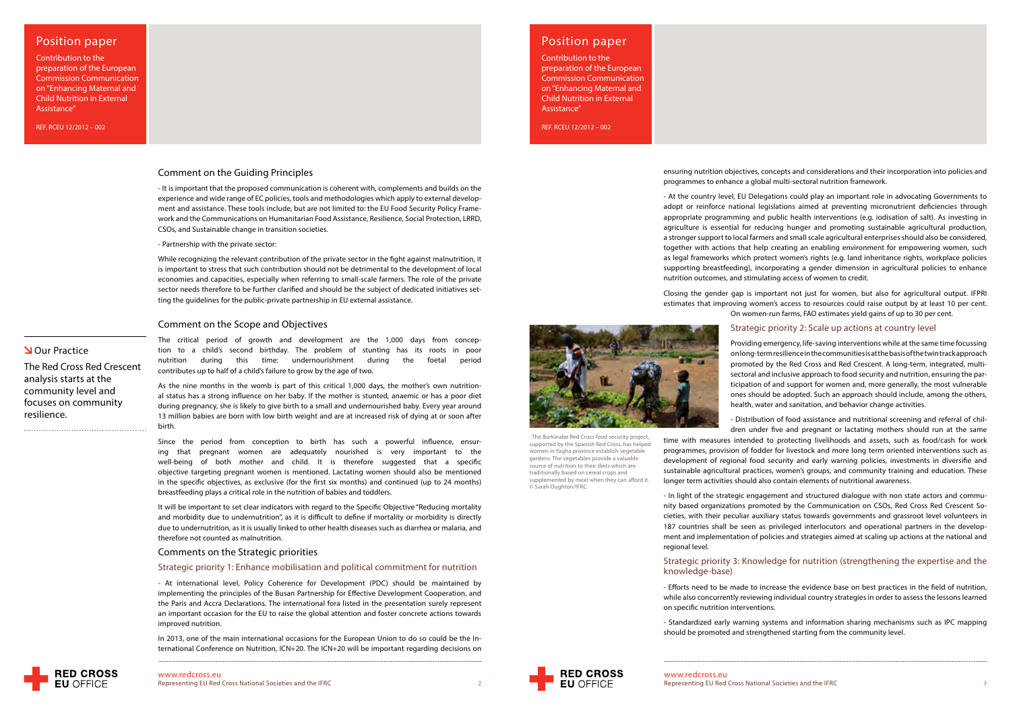# Position paper

Contribution to the preparation of the European Commission Communication on "Enhancing Maternal and Child Nutrition in External Assistance"

### Comment on the Guiding Principles

- It is important that the proposed communication is coherent with, complements and builds on the experience and wide range of EC policies, tools and methodologies which apply to external development and assistance. These tools include, but are not limited to: the EU Food Security Policy Framework and the Communications on Humanitarian Food Assistance, Resilience, Social Protection, LRRD, CSOs, and Sustainable change in transition societies.

- Partnership with the private sector:

While recognizing the relevant contribution of the private sector in the fight against malnutrition, it is important to stress that such contribution should not be detrimental to the development of local economies and capacities, especially when referring to small-scale farmers. The role of the private sector needs therefore to be further clarified and should be the subject of dedicated initiatives setting the guidelines for the public-private partnership in EU external assistance.

### Comment on the Scope and Objectives

tion to a child's second birthday. The problem of stunting has its roots in poor nutrition during this time: undernourishment during the foetal period contributes up to half of a child's failure to grow by the age of two. As the nine months in the womb is part of this critical 1,000 days, the mother's own nutrition-

al status has a strong influence on her baby. If the mother is stunted, anaemic or has a poor diet during pregnancy, she is likely to give birth to a small and undernourished baby. Every year around 13 million babies are born with low birth weight and are at increased risk of dying at or soon after birth.

Since the period from conception to birth has such a powerful influence, ensuring that pregnant women are adequately nourished is very important to the well-being of both mother and child. It is therefore suggested that a specific objective targeting pregnant women is mentioned. Lactating women should also be mentioned in the specific objectives, as exclusive (for the first six months) and continued (up to 24 months) breastfeeding plays a critical role in the nutrition of babies and toddlers.

It will be important to set clear indicators with regard to the Specific Objective "Reducing mortality and morbidity due to undernutrition", as it is difficult to define if mortality or morbidity is directly due to undernutrition, as it is usually linked to other health diseases such as diarrhea or malaria, and therefore not counted as malnutrition.

### Comments on the Strategic priorities

### Strategic priority 1: Enhance mobilisation and political commitment for nutrition

- At international level, Policy Coherence for Development (PDC) should be maintained by implementing the principles of the Busan Partnership for Effective Development Cooperation, and the Paris and Accra Declarations. The international fora listed in the presentation surely represent an important occasion for the EU to raise the global attention and foster concrete actions towards improved nutrition.

In 2013, one of the main international occasions for the European Union to do so could be the International Conference on Nutrition, ICN+20. The ICN+20 will be important regarding decisions on

# Position paper

Contribution to the preparation of the European Commission Communication on "Enhancing Maternal and Child Nutrition in External Assistance"

> ensuring nutrition objectives, concepts and considerations and their incorporation into policies and programmes to enhance a global multi-sectoral nutrition framework.

The critical period of growth and development are the 1,000 days from concep-**N**Our Practice The Red Cross Red Crescent analysis starts at the community level and

- At the country level, EU Delegations could play an important role in advocating Governments to adopt or reinforce national legislations aimed at preventing micronutrient deficiencies through appropriate programming and public health interventions (e.g. iodisation of salt). As investing in agriculture is essential for reducing hunger and promoting sustainable agricultural production, a stronger support to local farmers and small scale agricultural enterprises should also be considered, together with actions that help creating an enabling environment for empowering women, such as legal frameworks which protect women's rights (e.g. land inheritance rights, workplace policies supporting breastfeeding), incorporating a gender dimension in agricultural policies to enhance nutrition outcomes, and stimulating access of women to credit.

Closing the gender gap is important not just for women, but also for agricultural output. IFPRI estimates that improving women's access to resources could raise output by at least 10 per cent. On women-run farms, FAO estimates yield gains of up to 30 per cent.

## Strategic priority 2: Scale up actions at country level

Providing emergency, life-saving interventions while at the same time focussing on long-term resilience in the communities is at the basis of the twin track approach promoted by the Red Cross and Red Crescent. A long-term, integrated, multisectoral and inclusive approach to food security and nutrition, ensuring the participation of and support for women and, more generally, the most vulnerable ones should be adopted. Such an approach should include, among the others, health, water and sanitation, and behavior change activities.

- Distribution of food assistance and nutritional screening and referral of children under five and pregnant or lactating mothers should run at the same time with measures intended to protecting livelihoods and assets, such as food/cash for work programmes, provision of fodder for livestock and more long term oriented interventions such as development of regional food security and early warning policies, investments in diversifie and sustainable agricultural practices, women's groups, and community training and education. These longer term activities should also contain elements of nutritional awareness.

- In light of the strategic engagement and structured dialogue with non state actors and community based organizations promoted by the Communication on CSOs, Red Cross Red Crescent Societies, with their peculiar auxiliary status towards governments and grassroot level volunteers in 187 countries shall be seen as privileged interlocutors and operational partners in the development and implementation of policies and strategies aimed at scaling up actions at the national and regional level.

# Strategic priority 3: Knowledge for nutrition (strengthening the expertise and the

# knowledge-base)

- Efforts need to be made to increase the evidence base on best practices in the field of nutrition, while also concurrently reviewing individual country strategies in order to assess the lessons learned on specific nutrition interventions.

- Standardized early warning systems and information sharing mechanisms such as IPC mapping should be promoted and strengthened starting from the community level.

**RED CROSS EU OFFICE** 

www.redcross.eu<br>Representing EU Red Cross National Societies and the IFRC





focuses on community

resilience.

. The Burkinabe Red Cross food security project, supported by the Spanish Red Cross, has helped women in Yagha province establish vegetable gardens. The vegetables provide a valuable source of nutrition to their diets which are traditionally based on cereal crops and supplemented by meat when they can afford it.

© Sarah Oughton/IFRC

REF. RCEU 12/2012 – 002